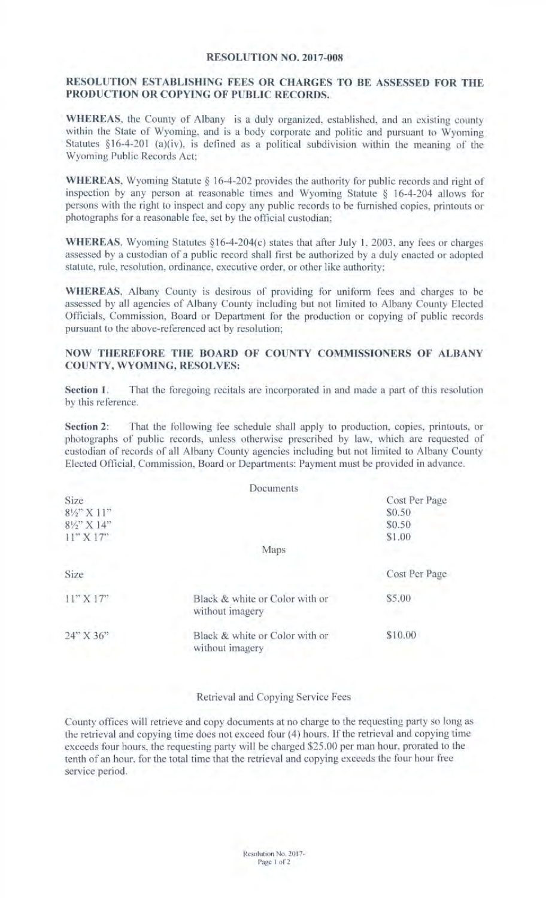## RESOLUTION NO. 2017-008

## RESOLUTION ESTABLISHING FEES OR CHARGES TO BE ASSESSED FOR THE PRODUCTION OR COPYING OF PUBLIC RECORDS.

WHEREAS, the County of Albany is a duly organized, established, and an existing county within the State of Wyoming, and is a body corporate and politic and pursuant to Wyoming Statutes §16-4-201 (a)(iv), is defined as a political subdivision within the meaning of the Wyoming Public Records Act;

WHEREAS, Wyoming Statute § 16-4-202 provides the authority for public records and right of inspection by any person at reasonable times and Wyoming Statute § 16-4-204 allows for persons with the right to inspect and copy any public records to be furnished copies, printouts or photographs for a reasonable fee, set by the official custodian;

WHEREAS, Wyoming Statutes §16-4-204(c) states that after July 1, 2003, any fees or charges assessed by a custodian of a public record shall first be authorized by a duly enacted or adopted statute, rule, resolution, ordinance, executive order, or other like authority;

WHEREAS, Albany County is desirous of providing for uniform fees and charges to be assessed by all agencies of Albany County including but not limited to Albany County Elected Officials, Commission, Board or Department for the production or copying of public records pursuant to the above-referenced act by resolution;

## NOW THEREFORE THE BOARD OF COUNTY COMMISSIONERS OF ALBANY COUNTY, WYOMING, RESOLVES:

Section 1. That the foregoing recitals are incorporated in and made a part of this resolution by this reference.

Section 2: That the following fee schedule shall apply to production, copies, printouts, or photographs of public records, unless otherwise prescribed by law, which are requested of custodian of records of all Albany County agencies including but not limited to Albany County Elected Official, Commission, Board or Departments: Payment must be provided in advance.

|                                | Documents                                         |               |
|--------------------------------|---------------------------------------------------|---------------|
| Size                           |                                                   | Cost Per Page |
| $8\frac{1}{2}$ $\times$ $11$ " |                                                   | \$0.50        |
| 81/2" X 14"                    |                                                   | \$0.50        |
| 11" X 17"                      |                                                   | \$1.00        |
|                                | Maps                                              |               |
| Size                           |                                                   | Cost Per Page |
| $11''$ X $17''$                | Black & white or Color with or<br>without imagery | \$5.00        |
| 24" X 36"                      | Black & white or Color with or<br>without imagery | \$10.00       |

Retrieval and Copying Service Fees

County offices will retrieve and copy documents at no charge to the requesting party so long as the retrieval and copying time does not exceed four (4) hours. If the retrieval and copying time exceeds four hours, the requesting party will be charged \$25.00 per man hour, prorated to the tenth of an hour, for the total time that the retrieval and copying exceeds the four hour free service period.